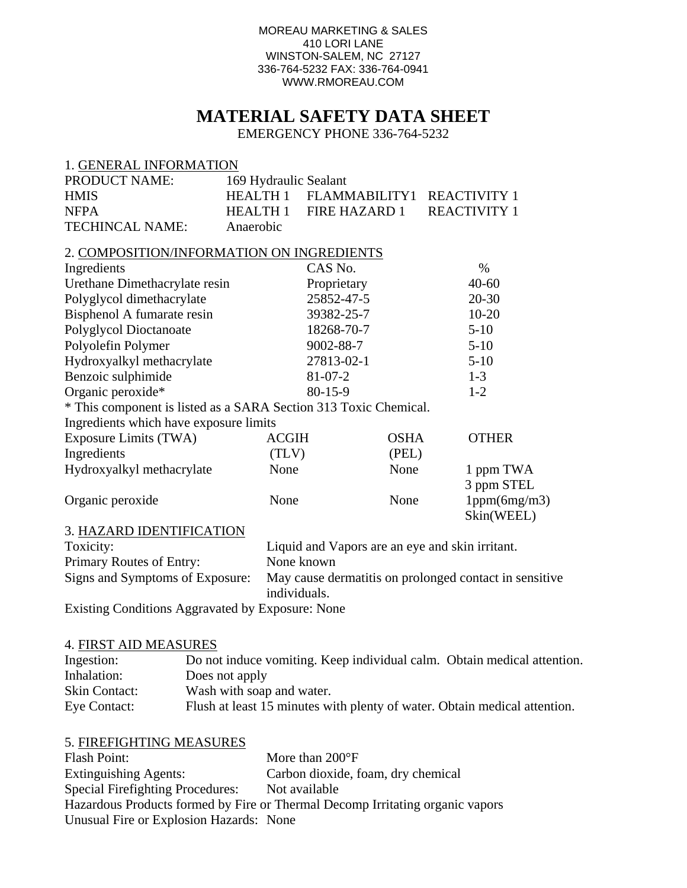#### MOREAU MARKETING & SALES 410 LORI LANE WINSTON-SALEM, NC 27127 336-764-5232 FAX: 336-764-0941 WWW.RMOREAU.COM

# **MATERIAL SAFETY DATA SHEET**

EMERGENCY PHONE 336-764-5232

#### 1. GENERAL INFORMATION

| <b>PRODUCT NAME:</b> | 169 Hydraulic Sealant |                                     |  |
|----------------------|-----------------------|-------------------------------------|--|
| <b>HMIS</b>          |                       | HEALTH 1 FLAMMABILITY1 REACTIVITY 1 |  |
| <b>NFPA</b>          |                       | HEALTH 1 FIRE HAZARD 1 REACTIVITY 1 |  |
| TECHINCAL NAME:      | Anaerobic             |                                     |  |

#### 2. COMPOSITION/INFORMATION ON INGREDIENTS

| Ingredients                   | CAS No.       | $\%$      |
|-------------------------------|---------------|-----------|
| Urethane Dimethacrylate resin | Proprietary   | $40 - 60$ |
| Polyglycol dimethacrylate     | 25852-47-5    | $20 - 30$ |
| Bisphenol A fumarate resin    | 39382-25-7    | $10 - 20$ |
| Polyglycol Dioctanoate        | 18268-70-7    | $5-10$    |
| Polyolefin Polymer            | 9002-88-7     | $5 - 10$  |
| Hydroxyalkyl methacrylate     | 27813-02-1    | $5-10$    |
| Benzoic sulphimide            | $81 - 07 - 2$ | $1 - 3$   |
| Organic peroxide*             | $80 - 15 - 9$ | $1 - 2$   |

\* This component is listed as a SARA Section 313 Toxic Chemical.

| Ingredients which have exposure limits |              |             |                            |
|----------------------------------------|--------------|-------------|----------------------------|
| Exposure Limits (TWA)                  | <b>ACGIH</b> | <b>OSHA</b> | <b>OTHER</b>               |
| Ingredients                            | (TLV)        | (PEL)       |                            |
| Hydroxyalkyl methacrylate              | None         | None        | 1 ppm TWA<br>3 ppm STEL    |
| Organic peroxide                       | None         | None        | 1ppm(6mg/m3)<br>Skin(WEEL) |

#### 3. HAZARD IDENTIFICATION

| Toxicity:                                                                                    | Liquid and Vapors are an eye and skin irritant.        |
|----------------------------------------------------------------------------------------------|--------------------------------------------------------|
| Primary Routes of Entry:                                                                     | None known                                             |
| Signs and Symptoms of Exposure:                                                              | May cause dermatitis on prolonged contact in sensitive |
|                                                                                              | individuals.                                           |
| $\Gamma$ $\cdots$ $\Gamma$ $\cdots$ $\Lambda$ $\cdots$ $\Lambda$ $\cdots$ $\Lambda$ $\cdots$ |                                                        |

Existing Conditions Aggravated by Exposure: None

#### 4. FIRST AID MEASURES

| Ingestion:           | Do not induce vomiting. Keep individual calm. Obtain medical attention.   |
|----------------------|---------------------------------------------------------------------------|
| Inhalation:          | Does not apply                                                            |
| <b>Skin Contact:</b> | Wash with soap and water.                                                 |
| Eye Contact:         | Flush at least 15 minutes with plenty of water. Obtain medical attention. |

# 5. FIREFIGHTING MEASURES Flash Point: More than 200°F Extinguishing Agents: Carbon dioxide, foam, dry chemical Special Firefighting Procedures: Not available Hazardous Products formed by Fire or Thermal Decomp Irritating organic vapors Unusual Fire or Explosion Hazards: None